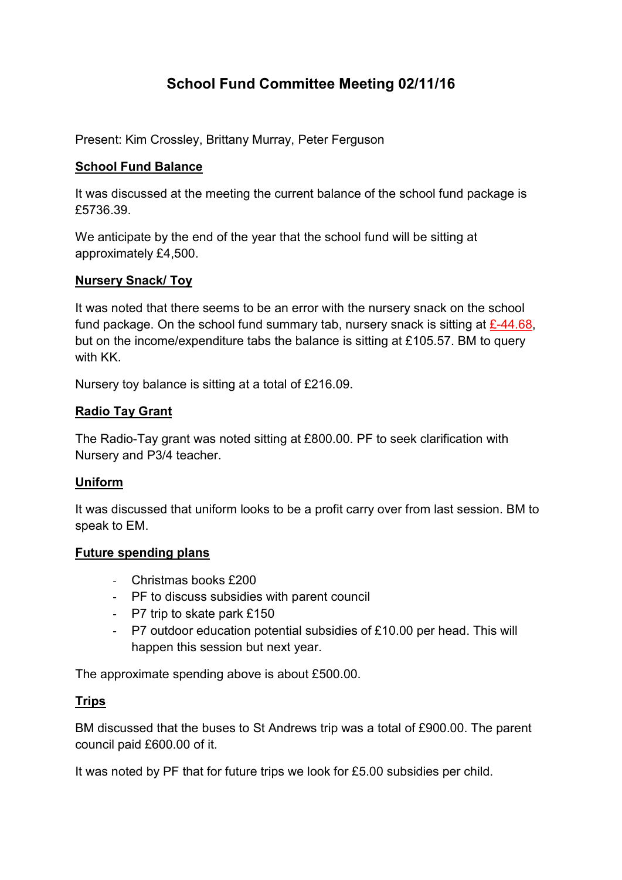# School Fund Committee Meeting 02/11/16

Present: Kim Crossley, Brittany Murray, Peter Ferguson

### School Fund Balance

It was discussed at the meeting the current balance of the school fund package is £5736.39.

We anticipate by the end of the year that the school fund will be sitting at approximately £4,500.

### Nursery Snack/ Toy

It was noted that there seems to be an error with the nursery snack on the school fund package. On the school fund summary tab, nursery snack is sitting at  $\angle 44.68$ , but on the income/expenditure tabs the balance is sitting at £105.57. BM to query with KK.

Nursery toy balance is sitting at a total of £216.09.

# Radio Tay Grant

The Radio-Tay grant was noted sitting at £800.00. PF to seek clarification with Nursery and P3/4 teacher.

### Uniform

It was discussed that uniform looks to be a profit carry over from last session. BM to speak to EM.

### Future spending plans

- Christmas books £200
- PF to discuss subsidies with parent council
- P7 trip to skate park £150
- P7 outdoor education potential subsidies of £10.00 per head. This will happen this session but next year.

The approximate spending above is about £500.00.

# Trips

BM discussed that the buses to St Andrews trip was a total of £900.00. The parent council paid £600.00 of it.

It was noted by PF that for future trips we look for £5.00 subsidies per child.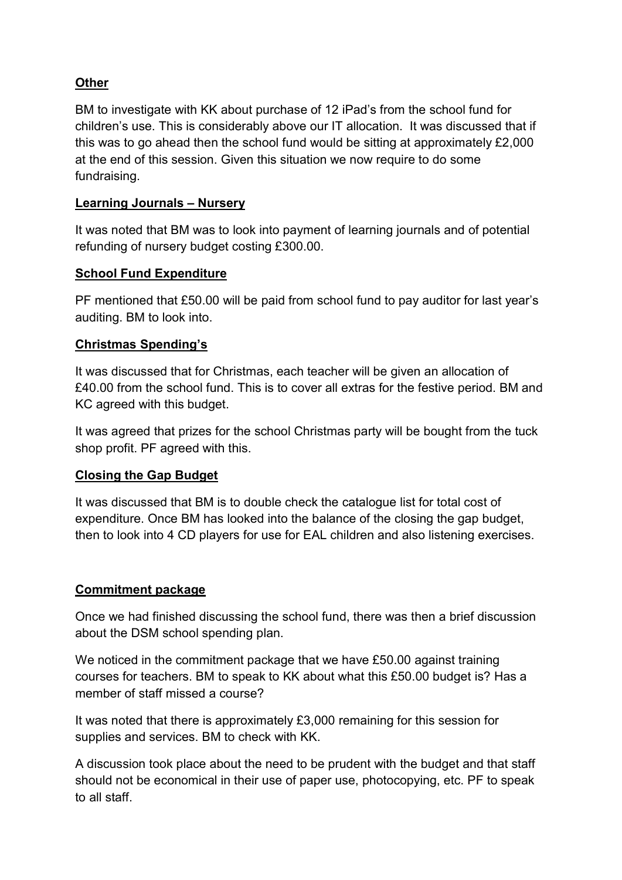# **Other**

BM to investigate with KK about purchase of 12 iPad's from the school fund for children's use. This is considerably above our IT allocation. It was discussed that if this was to go ahead then the school fund would be sitting at approximately £2,000 at the end of this session. Given this situation we now require to do some fundraising.

### Learning Journals – Nursery

It was noted that BM was to look into payment of learning journals and of potential refunding of nursery budget costing £300.00.

# School Fund Expenditure

PF mentioned that £50.00 will be paid from school fund to pay auditor for last year's auditing. BM to look into.

### Christmas Spending's

It was discussed that for Christmas, each teacher will be given an allocation of £40.00 from the school fund. This is to cover all extras for the festive period. BM and KC agreed with this budget.

It was agreed that prizes for the school Christmas party will be bought from the tuck shop profit. PF agreed with this.

# Closing the Gap Budget

It was discussed that BM is to double check the catalogue list for total cost of expenditure. Once BM has looked into the balance of the closing the gap budget, then to look into 4 CD players for use for EAL children and also listening exercises.

### Commitment package

Once we had finished discussing the school fund, there was then a brief discussion about the DSM school spending plan.

We noticed in the commitment package that we have £50.00 against training courses for teachers. BM to speak to KK about what this £50.00 budget is? Has a member of staff missed a course?

It was noted that there is approximately £3,000 remaining for this session for supplies and services. BM to check with KK.

A discussion took place about the need to be prudent with the budget and that staff should not be economical in their use of paper use, photocopying, etc. PF to speak to all staff.